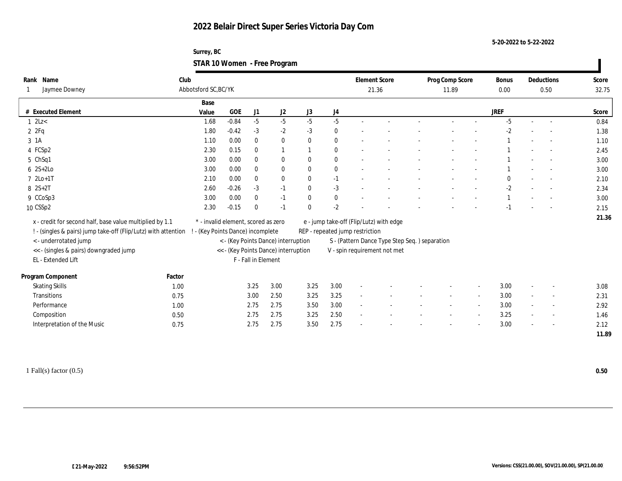**Surrey, BC STAR 10 Women - Free Program**

| Name<br>Rank<br>Jaymee Downey                                  | Club   | Abbotsford SC, BC/YK                |         |                     |                                      |              |                |                                 | <b>Element Score</b><br>21.36                 | Prog Comp Score<br>11.89 | <b>Bonus</b><br>0.00 |        | Deductions<br>0.50       | Score<br>32.75 |
|----------------------------------------------------------------|--------|-------------------------------------|---------|---------------------|--------------------------------------|--------------|----------------|---------------------------------|-----------------------------------------------|--------------------------|----------------------|--------|--------------------------|----------------|
|                                                                |        | Base                                |         |                     |                                      |              |                |                                 |                                               |                          |                      |        |                          |                |
| # Executed Element                                             |        | Value                               | GOE     | $\rm J1$            | $\mathrm{J}2$                        | J3           | J <sub>4</sub> |                                 |                                               |                          | <b>JREF</b>          |        |                          | Score          |
| $1 \text{ } 2Lz <$                                             |        | 1.68                                | $-0.84$ | $-5$                | $-5$                                 | $-5$         | $-5$           |                                 |                                               |                          | $-5$                 | $\sim$ |                          | 0.84           |
| 2ZFq                                                           |        | 1.80                                | $-0.42$ | $-3$                | $-2$                                 | $-3$         | $\bf{0}$       |                                 |                                               |                          | $-2$                 |        |                          | 1.38           |
| 3 1A                                                           |        | 1.10                                | 0.00    | $\bf{0}$            | $\bf{0}$                             | $\mathbf{0}$ | $\bf{0}$       |                                 |                                               |                          |                      |        |                          | 1.10           |
| 4 FCSp2                                                        |        | 2.30                                | 0.15    | $\mathbf{0}$        |                                      |              | $\bf{0}$       |                                 |                                               |                          |                      |        |                          | 2.45           |
| 5 ChSq1                                                        |        | 3.00                                | 0.00    | $\mathbf{0}$        | $\bf{0}$                             | $\mathbf{0}$ | $\bf{0}$       |                                 |                                               |                          |                      |        |                          | 3.00           |
| $6 \quad 2S+2Lo$                                               |        | 3.00                                | 0.00    | $\bf{0}$            | $\bf{0}$                             | $\mathbf{0}$ | $\bf{0}$       |                                 |                                               |                          |                      |        |                          | 3.00           |
| $72Lo+1T$                                                      |        | 2.10                                | 0.00    | $\bf{0}$            | $\bf{0}$                             | $\bf{0}$     | $-1$           |                                 |                                               |                          | $\mathbf{0}$         |        |                          | 2.10           |
| $8 \t2S+2T$                                                    |        | 2.60                                | $-0.26$ | $-3$                | $-1$                                 | $\mathbf{0}$ | $-3$           |                                 |                                               |                          | $-2$                 |        |                          | 2.34           |
| 9 CCoSp3                                                       |        | 3.00                                | 0.00    | $\mathbf{0}$        | $-1$                                 | $\mathbf{0}$ | $\bf{0}$       |                                 |                                               |                          |                      |        |                          | 3.00           |
| 10 CSSp2                                                       |        | 2.30                                | $-0.15$ | $\mathbf{0}$        | $-1$                                 | $\mathbf{0}$ | $-2$           |                                 |                                               |                          | $-1$                 |        |                          | 2.15           |
|                                                                |        |                                     |         |                     |                                      |              |                |                                 |                                               |                          |                      |        |                          | 21.36          |
| x - credit for second half, base value multiplied by 1.1       |        | * - invalid element, scored as zero |         |                     |                                      |              |                |                                 | e - jump take-off (Flip/Lutz) with edge       |                          |                      |        |                          |                |
| ! - (singles & pairs) jump take-off (Flip/Lutz) with attention |        | - (Key Points Dance) incomplete     |         |                     |                                      |              |                | REP - repeated jump restriction |                                               |                          |                      |        |                          |                |
| <- underrotated jump                                           |        |                                     |         |                     | < - (Key Points Dance) interruption  |              |                |                                 | S - (Pattern Dance Type Step Seq.) separation |                          |                      |        |                          |                |
| << - (singles & pairs) downgraded jump                         |        |                                     |         |                     | << - (Key Points Dance) interruption |              |                |                                 | V - spin requirement not met                  |                          |                      |        |                          |                |
| EL - Extended Lift                                             |        |                                     |         | F - Fall in Element |                                      |              |                |                                 |                                               |                          |                      |        |                          |                |
| Program Component                                              | Factor |                                     |         |                     |                                      |              |                |                                 |                                               |                          |                      |        |                          |                |
| <b>Skating Skills</b>                                          | 1.00   |                                     |         | 3.25                | 3.00                                 | 3.25         | 3.00           |                                 |                                               |                          | 3.00                 |        |                          | 3.08           |
| Transitions                                                    | 0.75   |                                     |         | 3.00                | 2.50                                 | 3.25         | 3.25           | $\overline{\phantom{a}}$        |                                               |                          | 3.00                 |        | $\overline{a}$           | 2.31           |
| Performance                                                    | 1.00   |                                     |         | 2.75                | 2.75                                 | 3.50         | 3.00           | $\sim$                          |                                               |                          | 3.00                 |        | $\overline{\phantom{a}}$ | 2.92           |
| Composition                                                    | 0.50   |                                     |         | 2.75                | 2.75                                 | 3.25         | 2.50           |                                 |                                               |                          | 3.25                 |        | $\overline{a}$           | 1.46           |
|                                                                |        |                                     |         |                     |                                      |              |                |                                 |                                               |                          |                      |        |                          |                |
| Interpretation of the Music                                    | 0.75   |                                     |         | 2.75                | 2.75                                 | 3.50         | 2.75           |                                 |                                               |                          | 3.00                 |        | $\overline{\phantom{a}}$ | 2.12           |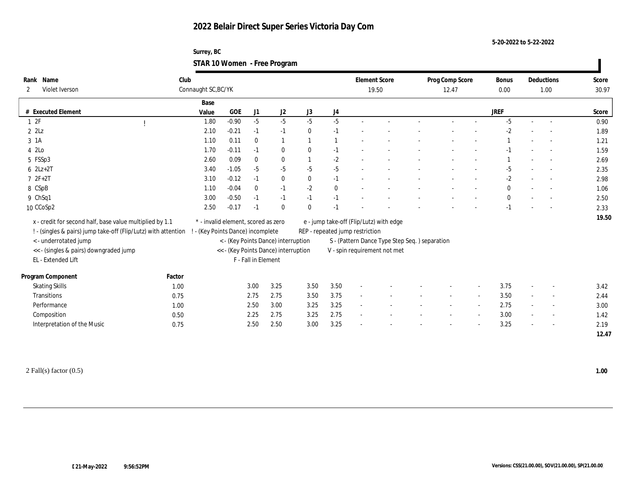**Surrey, BC STAR 10 Women - Free Program**

| Name<br>Rank                                                 | Club                                                           |                                     |         |                     |                                      |                  |                  |                                 | <b>Element Score</b>                          | Prog Comp Score | Bonus        |                          | Deductions               | Score |
|--------------------------------------------------------------|----------------------------------------------------------------|-------------------------------------|---------|---------------------|--------------------------------------|------------------|------------------|---------------------------------|-----------------------------------------------|-----------------|--------------|--------------------------|--------------------------|-------|
| Violet Iverson<br>$\mathbf{2}$                               |                                                                | Connaught SC, BC/YK                 |         |                     |                                      |                  |                  |                                 | 19.50                                         | 12.47           | 0.00         |                          | 1.00                     | 30.97 |
|                                                              |                                                                | Base                                |         |                     |                                      |                  |                  |                                 |                                               |                 |              |                          |                          |       |
| # Executed Element                                           |                                                                | Value                               | GOE     | J1                  | J <sub>2</sub>                       | $_{\mathrm{J}3}$ | $_{\mathrm{J}4}$ |                                 |                                               |                 | <b>JREF</b>  |                          |                          | Score |
| 12F                                                          |                                                                | 1.80                                | $-0.90$ | $-5$                | $-5$                                 | $-5$             | $-5$             |                                 |                                               |                 | $-5$         |                          |                          | 0.90  |
| $2$ $2$ Lz                                                   |                                                                | 2.10                                | $-0.21$ | $-1$                | $-1$                                 | $\bf{0}$         | $-1$             |                                 |                                               |                 | $-2$         |                          |                          | 1.89  |
| 3 1A                                                         |                                                                | 1.10                                | 0.11    | $\bf{0}$            | $\mathbf{1}$                         |                  |                  |                                 |                                               |                 |              |                          |                          | 1.21  |
| 4 2Lo                                                        |                                                                | 1.70                                | $-0.11$ | $-1$                | $\bf{0}$                             | $\mathbf{0}$     | $-1$             |                                 |                                               |                 |              |                          |                          | 1.59  |
| 5 FSSp3                                                      |                                                                | 2.60                                | 0.09    | $\bf{0}$            | $\bf{0}$                             |                  | $-2$             |                                 |                                               |                 |              |                          |                          | 2.69  |
| $6 \text{ } 2Lz+2T$                                          |                                                                | 3.40                                | $-1.05$ | $-5$                | $-5$                                 | $-5$             | $-5$             |                                 |                                               |                 | $-5$         |                          |                          | 2.35  |
| $72F+2T$                                                     |                                                                | 3.10                                | $-0.12$ | $-1$                | $\bf{0}$                             | $\mathbf{0}$     | $-1$             | $\sim$                          |                                               |                 | $-2$         |                          |                          | 2.98  |
| 8 CSpB                                                       |                                                                | 1.10                                | $-0.04$ | $\theta$            | $-1$                                 | $-2$             | $\bf{0}$         |                                 |                                               |                 | $\mathbf{0}$ |                          |                          | 1.06  |
| 9 ChSq1                                                      |                                                                | 3.00                                | $-0.50$ | $-1$                | $-1$                                 | $-1$             | $-1$             |                                 |                                               |                 | $\mathbf{0}$ |                          |                          | 2.50  |
| 10 CCoSp2                                                    |                                                                | 2.50                                | $-0.17$ | $-1$                | $\mathbf{0}$                         | $\mathbf{0}$     | $-1$             |                                 |                                               |                 | $-1$         |                          |                          | 2.33  |
|                                                              |                                                                | * - invalid element, scored as zero |         |                     |                                      |                  |                  |                                 |                                               |                 |              |                          |                          | 19.50 |
| x - credit for second half, base value multiplied by 1.1     |                                                                | ! - (Key Points Dance) incomplete   |         |                     |                                      |                  |                  |                                 | e - jump take-off (Flip/Lutz) with edge       |                 |              |                          |                          |       |
|                                                              | ! - (singles & pairs) jump take-off (Flip/Lutz) with attention |                                     |         |                     |                                      |                  |                  | REP - repeated jump restriction |                                               |                 |              |                          |                          |       |
| <- underrotated jump                                         |                                                                |                                     |         |                     | < - (Key Points Dance) interruption  |                  |                  |                                 | S - (Pattern Dance Type Step Seq.) separation |                 |              |                          |                          |       |
| << - (singles & pairs) downgraded jump<br>EL - Extended Lift |                                                                |                                     |         | F - Fall in Element | << - (Key Points Dance) interruption |                  |                  |                                 | V - spin requirement not met                  |                 |              |                          |                          |       |
|                                                              |                                                                |                                     |         |                     |                                      |                  |                  |                                 |                                               |                 |              |                          |                          |       |
| Program Component                                            | Factor                                                         |                                     |         |                     |                                      |                  |                  |                                 |                                               |                 |              |                          |                          |       |
| <b>Skating Skills</b>                                        | 1.00                                                           |                                     |         | 3.00                | 3.25                                 | 3.50             | 3.50             |                                 |                                               |                 | 3.75         |                          | $\overline{\phantom{a}}$ | 3.42  |
| Transitions                                                  | 0.75                                                           |                                     |         | 2.75                | 2.75                                 | 3.50             | 3.75             | $\sim$                          |                                               |                 | 3.50         | $\sim$                   | $\overline{\phantom{a}}$ | 2.44  |
| Performance                                                  | 1.00                                                           |                                     |         | 2.50                | 3.00                                 | 3.25             | 3.25             | $\sim$                          |                                               |                 | 2.75         |                          |                          | 3.00  |
| Composition                                                  | 0.50                                                           |                                     |         | 2.25                | 2.75                                 | 3.25             | 2.75             | $\sim$                          |                                               |                 | 3.00         | $\sim$                   |                          | 1.42  |
| Interpretation of the Music                                  | 0.75                                                           |                                     |         | 2.50                | 2.50                                 | 3.00             | 3.25             |                                 |                                               |                 | 3.25         | $\overline{\phantom{a}}$ | $\overline{\phantom{a}}$ | 2.19  |
|                                                              |                                                                |                                     |         |                     |                                      |                  |                  |                                 |                                               |                 |              |                          |                          | 12.47 |
|                                                              |                                                                |                                     |         |                     |                                      |                  |                  |                                 |                                               |                 |              |                          |                          |       |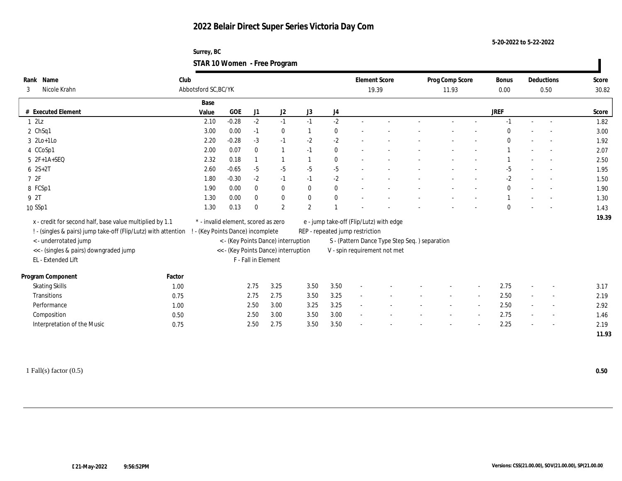**Surrey, BC STAR 10 Women - Free Program**

| Name<br>Rank                                             | Club                                                           |                                     |              |                     |                                      |              |          | <b>Element Score</b>            |                                               | Prog Comp Score |        | <b>Bonus</b> |                          | Deductions               | Score |
|----------------------------------------------------------|----------------------------------------------------------------|-------------------------------------|--------------|---------------------|--------------------------------------|--------------|----------|---------------------------------|-----------------------------------------------|-----------------|--------|--------------|--------------------------|--------------------------|-------|
| Nicole Krahn<br>3                                        |                                                                | Abbotsford SC, BC/YK                |              |                     |                                      |              |          | 19.39                           |                                               | 11.93           |        | 0.00         |                          | 0.50                     | 30.82 |
|                                                          |                                                                | Base                                |              |                     |                                      |              |          |                                 |                                               |                 |        |              |                          |                          |       |
| # Executed Element                                       |                                                                | Value                               | $_{\rm GOE}$ | J1                  | J2                                   | J3           | J4       |                                 |                                               |                 |        | <b>JREF</b>  |                          |                          | Score |
| 12Lz                                                     |                                                                | 2.10                                | $-0.28$      | $-2$                | $-1$                                 | $-1$         | $-2$     |                                 |                                               |                 |        | $-1$         | $\sim$                   |                          | 1.82  |
| $2$ ChSq1                                                |                                                                | 3.00                                | 0.00         | $-1$                | $\bf{0}$                             |              | $\bf{0}$ |                                 |                                               |                 |        |              |                          |                          | 3.00  |
| $3 \text{2Lo+1Lo}$                                       |                                                                | 2.20                                | $-0.28$      | $-3$                | $-1$                                 | $-2$         | $-2$     |                                 |                                               |                 |        | $\mathbf{0}$ |                          |                          | 1.92  |
| 4 CCoSp1                                                 |                                                                | 2.00                                | 0.07         | $\mathbf{0}$        | $\mathbf{1}$                         | $-1$         | $\bf{0}$ |                                 |                                               |                 |        |              |                          |                          | 2.07  |
| 5 2F+1A+SEQ                                              |                                                                | 2.32                                | 0.18         |                     |                                      |              | $\bf{0}$ |                                 |                                               |                 |        |              |                          |                          | 2.50  |
| $6 \ 2S + 2T$                                            |                                                                | 2.60                                | $-0.65$      | $-5$                | $-5$                                 | $-5$         | $-5$     |                                 |                                               |                 |        | $-5$         |                          |                          | 1.95  |
| 72F                                                      |                                                                | 1.80                                | $-0.30$      | $-2$                | $-1$                                 | $-1$         | $-2$     |                                 |                                               |                 |        | $-2$         |                          | $\sim$                   | 1.50  |
| 8 FCSp1                                                  |                                                                | 1.90                                | 0.00         | $\mathbf{0}$        | $\bf{0}$                             | $\mathbf{0}$ | $\bf{0}$ |                                 |                                               |                 |        | $\mathbf{0}$ |                          |                          | 1.90  |
| 9 2T                                                     |                                                                | 1.30                                | 0.00         | $\mathbf{0}$        | $\bf{0}$                             | $\mathbf{0}$ | $\bf{0}$ |                                 |                                               |                 |        |              |                          |                          | 1.30  |
| 10 SSp1                                                  |                                                                | 1.30                                | 0.13         | $\theta$            | 2                                    | $\mathbf{2}$ |          |                                 |                                               |                 |        | $\mathbf{0}$ |                          |                          | 1.43  |
|                                                          |                                                                |                                     |              |                     |                                      |              |          |                                 |                                               |                 |        |              |                          |                          | 19.39 |
| x - credit for second half, base value multiplied by 1.1 |                                                                | * - invalid element, scored as zero |              |                     |                                      |              |          |                                 | e - jump take-off (Flip/Lutz) with edge       |                 |        |              |                          |                          |       |
|                                                          | ! - (singles & pairs) jump take-off (Flip/Lutz) with attention | - (Key Points Dance) incomplete     |              |                     |                                      |              |          | REP - repeated jump restriction |                                               |                 |        |              |                          |                          |       |
| <- underrotated jump                                     |                                                                |                                     |              |                     | < - (Key Points Dance) interruption  |              |          |                                 | S - (Pattern Dance Type Step Seq.) separation |                 |        |              |                          |                          |       |
| << - (singles & pairs) downgraded jump                   |                                                                |                                     |              | F - Fall in Element | << - (Key Points Dance) interruption |              |          |                                 | V - spin requirement not met                  |                 |        |              |                          |                          |       |
| EL - Extended Lift                                       |                                                                |                                     |              |                     |                                      |              |          |                                 |                                               |                 |        |              |                          |                          |       |
| Program Component                                        | Factor                                                         |                                     |              |                     |                                      |              |          |                                 |                                               |                 |        |              |                          |                          |       |
| <b>Skating Skills</b>                                    | 1.00                                                           |                                     |              | 2.75                | 3.25                                 | 3.50         | 3.50     |                                 |                                               |                 |        | 2.75         |                          |                          | 3.17  |
| Transitions                                              | 0.75                                                           |                                     |              | 2.75                | 2.75                                 | 3.50         | 3.25     | $\sim$                          |                                               |                 | $\sim$ | 2.50         | $\sim$                   | $\sim$                   | 2.19  |
| Performance                                              | 1.00                                                           |                                     |              | 2.50                | 3.00                                 | 3.25         | 3.25     | $\sim$                          |                                               |                 |        | 2.50         | $\overline{\phantom{a}}$ | $\sim$                   | 2.92  |
| Composition                                              | 0.50                                                           |                                     |              | 2.50                | 3.00                                 | 3.50         | 3.00     | $\sim$                          |                                               |                 |        | 2.75         | $\sim$                   | $\overline{\phantom{a}}$ | 1.46  |
| Interpretation of the Music                              | 0.75                                                           |                                     |              | 2.50                | 2.75                                 | 3.50         | 3.50     |                                 |                                               |                 |        | 2.25         |                          |                          | 2.19  |
|                                                          |                                                                |                                     |              |                     |                                      |              |          |                                 |                                               |                 |        |              |                          |                          | 11.93 |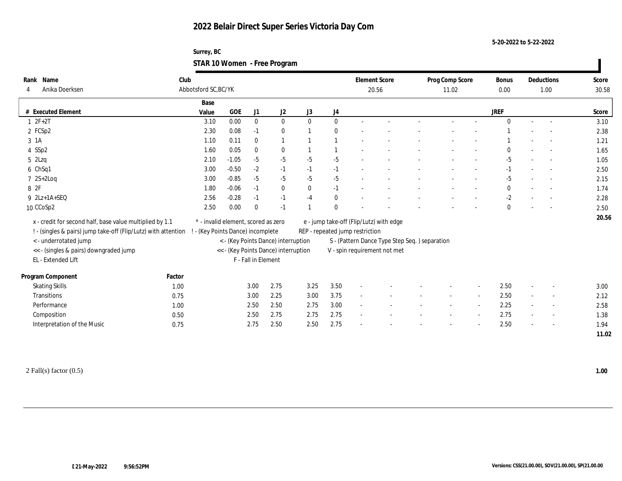**Surrey, BC STAR 10 Women - Free Program**

| Rank Name                                                      | Club                 |                                     |                     |              |                                      |              |                |                                 | <b>Element Score</b>                          | Prog Comp Score |        | <b>Bonus</b> |                          | Deductions               | Score |
|----------------------------------------------------------------|----------------------|-------------------------------------|---------------------|--------------|--------------------------------------|--------------|----------------|---------------------------------|-----------------------------------------------|-----------------|--------|--------------|--------------------------|--------------------------|-------|
| Anika Doerksen<br>4                                            | Abbotsford SC, BC/YK |                                     |                     |              |                                      |              |                |                                 | 20.56                                         | 11.02           |        | 0.00         |                          | 1.00                     | 30.58 |
|                                                                | Base                 |                                     |                     |              |                                      |              |                |                                 |                                               |                 |        |              |                          |                          |       |
| # Executed Element                                             | Value                | GOE                                 |                     | J1           | J2                                   | J3           | J4             |                                 |                                               |                 |        | <b>JREF</b>  |                          |                          | Score |
| $1 2F + 2T$                                                    |                      | 0.00<br>3.10                        |                     | $\bf{0}$     | $\bf{0}$                             | $\mathbf{0}$ | $\bf{0}$       |                                 |                                               |                 |        | $\mathbf{0}$ |                          |                          | 3.10  |
| 2 FCSp2                                                        |                      | 2.30<br>0.08                        |                     | $-1$         | $\bf{0}$                             |              | $\mathbf{0}$   |                                 |                                               |                 |        |              |                          |                          | 2.38  |
| 3 1A                                                           |                      | 1.10<br>0.11                        |                     | $\mathbf{0}$ | $\mathbf{1}$                         |              | $\overline{1}$ |                                 |                                               |                 |        |              |                          |                          | 1.21  |
| 4 SSp2                                                         |                      | 0.05<br>1.60                        |                     | $\mathbf{0}$ | $\bf{0}$                             |              |                |                                 |                                               |                 |        | $\mathbf{0}$ |                          |                          | 1.65  |
| $5$ 2Lzq                                                       |                      | $-1.05$<br>2.10                     |                     | $-5$         | $-5$                                 | $-5$         | $-5$           |                                 |                                               |                 |        | $-5$         |                          |                          | 1.05  |
| 6 ChSq1                                                        |                      | 3.00<br>$-0.50$                     |                     | $-2$         | $-1$                                 | $-1$         | $-1$           |                                 |                                               |                 |        | $-1$         |                          |                          | 2.50  |
| $72S+2Log$                                                     |                      | 3.00<br>$-0.85$                     |                     | $-5$         | $-5$                                 | $-5$         | $-5$           |                                 |                                               |                 |        | $-5$         |                          |                          | 2.15  |
| 8 2F                                                           |                      | $-0.06$<br>1.80                     |                     | $-1$         | $\bf{0}$                             | $\mathbf{0}$ | $-1$           |                                 |                                               |                 |        | $\bf{0}$     |                          |                          | 1.74  |
| $9$ $2Lz+1A+SEQ$                                               |                      | 2.56<br>$-0.28$                     |                     | $-1$         | $-1$                                 | $-4$         | $\bf{0}$       |                                 |                                               |                 |        | $-2$         | $\overline{\phantom{a}}$ |                          | 2.28  |
| 10 CCoSp2                                                      |                      | 2.50<br>0.00                        |                     | $\mathbf{0}$ | $-1$                                 |              | $\mathbf{0}$   |                                 |                                               |                 |        | $\mathbf{0}$ |                          | $\sim$                   | 2.50  |
| x - credit for second half, base value multiplied by 1.1       |                      | * - invalid element, scored as zero |                     |              |                                      |              |                |                                 | e - jump take-off (Flip/Lutz) with edge       |                 |        |              |                          |                          | 20.56 |
| ! - (singles & pairs) jump take-off (Flip/Lutz) with attention |                      | - (Key Points Dance) incomplete     |                     |              |                                      |              |                | REP - repeated jump restriction |                                               |                 |        |              |                          |                          |       |
| <- underrotated jump                                           |                      |                                     |                     |              | < - (Key Points Dance) interruption  |              |                |                                 | S - (Pattern Dance Type Step Seq.) separation |                 |        |              |                          |                          |       |
| << - (singles & pairs) downgraded jump                         |                      |                                     |                     |              | << - (Key Points Dance) interruption |              |                |                                 | V - spin requirement not met                  |                 |        |              |                          |                          |       |
| EL - Extended Lift                                             |                      |                                     | F - Fall in Element |              |                                      |              |                |                                 |                                               |                 |        |              |                          |                          |       |
|                                                                |                      |                                     |                     |              |                                      |              |                |                                 |                                               |                 |        |              |                          |                          |       |
| Program Component                                              | Factor               |                                     |                     |              |                                      |              |                |                                 |                                               |                 |        |              |                          |                          |       |
| <b>Skating Skills</b>                                          | 1.00                 |                                     | 3.00                |              | 2.75                                 | 3.25         | 3.50           |                                 |                                               |                 |        | 2.50         |                          |                          | 3.00  |
| Transitions                                                    | 0.75                 |                                     | 3.00                |              | 2.25                                 | 3.00         | 3.75           | $\sim$                          |                                               |                 | $\sim$ | 2.50         | $\sim$                   | $\sim$                   | 2.12  |
| Performance                                                    | 1.00                 |                                     | 2.50                |              | 2.50                                 | 2.75         | 3.00           | $\sim$                          |                                               |                 |        | 2.25         | $\overline{\phantom{a}}$ | $\sim$                   | 2.58  |
| Composition                                                    | 0.50                 |                                     | 2.50                |              | 2.75                                 | 2.75         | 2.75           | $\sim$                          |                                               |                 |        | 2.75         |                          | $\overline{\phantom{a}}$ | 1.38  |
| Interpretation of the Music                                    | 0.75                 |                                     | 2.75                |              | 2.50                                 | 2.50         | 2.75           |                                 |                                               |                 |        | 2.50         | $\overline{\phantom{a}}$ |                          | 1.94  |
|                                                                |                      |                                     |                     |              |                                      |              |                |                                 |                                               |                 |        |              |                          |                          | 11.02 |

 $\overline{\phantom{a}}$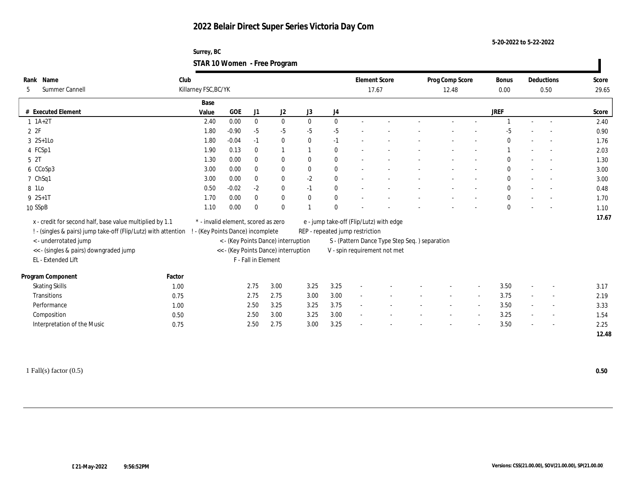**Surrey, BC STAR 10 Women - Free Program**

| Name<br><b>Summer Cannell</b> | Club                                                                                                                                                                                                                                                                                                                         |                                                                                                                                                              |                      |          |                                                                                               |                                                                             |                          |                                                                                                                                             | 12.48 |                                               | <b>Bonus</b><br>0.00 |        |                          | Score<br>29.65     |
|-------------------------------|------------------------------------------------------------------------------------------------------------------------------------------------------------------------------------------------------------------------------------------------------------------------------------------------------------------------------|--------------------------------------------------------------------------------------------------------------------------------------------------------------|----------------------|----------|-----------------------------------------------------------------------------------------------|-----------------------------------------------------------------------------|--------------------------|---------------------------------------------------------------------------------------------------------------------------------------------|-------|-----------------------------------------------|----------------------|--------|--------------------------|--------------------|
|                               | Base                                                                                                                                                                                                                                                                                                                         |                                                                                                                                                              |                      |          |                                                                                               |                                                                             |                          |                                                                                                                                             |       |                                               |                      |        |                          |                    |
|                               | Value                                                                                                                                                                                                                                                                                                                        | GOE                                                                                                                                                          | $\rm J1$             | J2       | J3                                                                                            | J <sub>4</sub>                                                              |                          |                                                                                                                                             |       |                                               | <b>JREF</b>          |        |                          | Score              |
|                               | 2.40                                                                                                                                                                                                                                                                                                                         | 0.00                                                                                                                                                         | $\bf{0}$             | $\bf{0}$ | $\mathbf{0}$                                                                                  | $\bf{0}$                                                                    |                          |                                                                                                                                             |       |                                               |                      | $\sim$ |                          | 2.40               |
|                               | 1.80                                                                                                                                                                                                                                                                                                                         | $-0.90$                                                                                                                                                      | $-5$                 | $-5$     | $-5$                                                                                          | $-5$                                                                        |                          |                                                                                                                                             |       |                                               |                      |        |                          | 0.90               |
|                               | 1.80                                                                                                                                                                                                                                                                                                                         | $-0.04$                                                                                                                                                      | $-1$                 | $\bf{0}$ | $\mathbf{0}$                                                                                  | $-1$                                                                        |                          |                                                                                                                                             |       |                                               | $\mathbf{0}$         |        |                          | 1.76               |
|                               | 1.90                                                                                                                                                                                                                                                                                                                         | 0.13                                                                                                                                                         | $\mathbf{0}$         |          |                                                                                               | $\bf{0}$                                                                    |                          |                                                                                                                                             |       |                                               |                      |        | $\sim$                   | 2.03               |
|                               | 1.30                                                                                                                                                                                                                                                                                                                         | 0.00                                                                                                                                                         | $\mathbf{0}$         | $\bf{0}$ | $\mathbf{0}$                                                                                  | $\bf{0}$                                                                    |                          |                                                                                                                                             |       |                                               | $\bf{0}$             |        |                          | 1.30               |
|                               | 3.00                                                                                                                                                                                                                                                                                                                         | 0.00                                                                                                                                                         | $\bf{0}$             | $\bf{0}$ | $\mathbf{0}$                                                                                  | $\bf{0}$                                                                    |                          |                                                                                                                                             |       |                                               | $\bf{0}$             |        |                          | 3.00               |
|                               | 3.00                                                                                                                                                                                                                                                                                                                         | 0.00                                                                                                                                                         | $\bf{0}$             | $\bf{0}$ | $-2$                                                                                          | $\bf{0}$                                                                    |                          |                                                                                                                                             |       |                                               | $\bf{0}$             |        |                          | 3.00               |
|                               | 0.50                                                                                                                                                                                                                                                                                                                         | $-0.02$                                                                                                                                                      | $-2$                 | $\bf{0}$ | $-1$                                                                                          | $\bf{0}$                                                                    |                          |                                                                                                                                             |       |                                               | $\mathbf{0}$         |        |                          | 0.48               |
|                               | 1.70                                                                                                                                                                                                                                                                                                                         | 0.00                                                                                                                                                         | $\mathbf{0}$         | $\bf{0}$ | $\mathbf{0}$                                                                                  | $\bf{0}$                                                                    |                          |                                                                                                                                             |       |                                               | $\bf{0}$             |        |                          | 1.70               |
|                               | 1.10                                                                                                                                                                                                                                                                                                                         | 0.00                                                                                                                                                         | $\mathbf{0}$         | $\bf{0}$ |                                                                                               | $\mathbf{0}$                                                                |                          |                                                                                                                                             |       |                                               | $\bf{0}$             |        |                          | 1.10               |
|                               |                                                                                                                                                                                                                                                                                                                              |                                                                                                                                                              |                      |          |                                                                                               |                                                                             |                          |                                                                                                                                             |       |                                               |                      |        |                          | 17.67              |
|                               |                                                                                                                                                                                                                                                                                                                              |                                                                                                                                                              |                      |          |                                                                                               |                                                                             |                          |                                                                                                                                             |       |                                               |                      |        |                          |                    |
|                               |                                                                                                                                                                                                                                                                                                                              |                                                                                                                                                              |                      |          |                                                                                               |                                                                             |                          |                                                                                                                                             |       |                                               |                      |        |                          |                    |
|                               |                                                                                                                                                                                                                                                                                                                              |                                                                                                                                                              |                      |          |                                                                                               |                                                                             |                          |                                                                                                                                             |       |                                               |                      |        |                          |                    |
|                               |                                                                                                                                                                                                                                                                                                                              |                                                                                                                                                              |                      |          |                                                                                               |                                                                             |                          |                                                                                                                                             |       |                                               |                      |        |                          |                    |
|                               |                                                                                                                                                                                                                                                                                                                              |                                                                                                                                                              |                      |          |                                                                                               |                                                                             |                          |                                                                                                                                             |       |                                               |                      |        |                          |                    |
|                               |                                                                                                                                                                                                                                                                                                                              |                                                                                                                                                              |                      |          |                                                                                               |                                                                             |                          |                                                                                                                                             |       |                                               |                      |        |                          |                    |
|                               |                                                                                                                                                                                                                                                                                                                              |                                                                                                                                                              | 2.75                 | 3.00     | 3.25                                                                                          | 3.25                                                                        | $\overline{a}$           |                                                                                                                                             |       |                                               | 3.50                 |        |                          | 3.17               |
|                               |                                                                                                                                                                                                                                                                                                                              |                                                                                                                                                              | 2.75                 | 2.75     | 3.00                                                                                          | 3.00                                                                        | $\overline{\phantom{a}}$ |                                                                                                                                             |       |                                               | 3.75                 |        | $\overline{a}$           | 2.19               |
|                               |                                                                                                                                                                                                                                                                                                                              |                                                                                                                                                              | 2.50                 | 3.25     | 3.25                                                                                          | 3.75                                                                        | $\sim$                   |                                                                                                                                             |       |                                               | 3.50                 |        | $\overline{\phantom{a}}$ | 3.33               |
|                               |                                                                                                                                                                                                                                                                                                                              |                                                                                                                                                              | 2.50                 | 3.00     | 3.25                                                                                          | 3.00                                                                        |                          |                                                                                                                                             |       |                                               | 3.25                 |        | $\overline{a}$           | 1.54               |
| Composition                   | 0.50                                                                                                                                                                                                                                                                                                                         |                                                                                                                                                              |                      |          |                                                                                               |                                                                             |                          |                                                                                                                                             |       |                                               |                      |        |                          |                    |
| Interpretation of the Music   | 0.75                                                                                                                                                                                                                                                                                                                         |                                                                                                                                                              | 2.50                 | 2.75     | 3.00                                                                                          | 3.25                                                                        |                          |                                                                                                                                             |       |                                               | 3.50                 |        | $\overline{\phantom{a}}$ | 2.25               |
|                               | Rank<br># Executed Element<br>$1$ $1A+2T$<br>2ZF<br>$3 \quad 2S+1Lo$<br>4 FCSp1<br>5 2T<br>6 CCoSp3<br>7 ChSq1<br>8 1Lo<br>$9 \t2S+1T$<br>10 SSpB<br><- underrotated jump<br><< - (singles & pairs) downgraded jump<br>EL - Extended Lift<br>Program Component<br><b>Skating Skills</b><br><b>Transitions</b><br>Performance | x - credit for second half, base value multiplied by 1.1<br>! - (singles & pairs) jump take-off (Flip/Lutz) with attention<br>Factor<br>1.00<br>0.75<br>1.00 | Killarney FSC, BC/YK |          | * - invalid element, scored as zero<br>- (Key Points Dance) incomplete<br>F - Fall in Element | < - (Key Points Dance) interruption<br><< - (Key Points Dance) interruption |                          | <b>Element Score</b><br>17.67<br>e - jump take-off (Flip/Lutz) with edge<br>REP - repeated jump restriction<br>V - spin requirement not met |       | S - (Pattern Dance Type Step Seq.) separation | Prog Comp Score      |        |                          | Deductions<br>0.50 |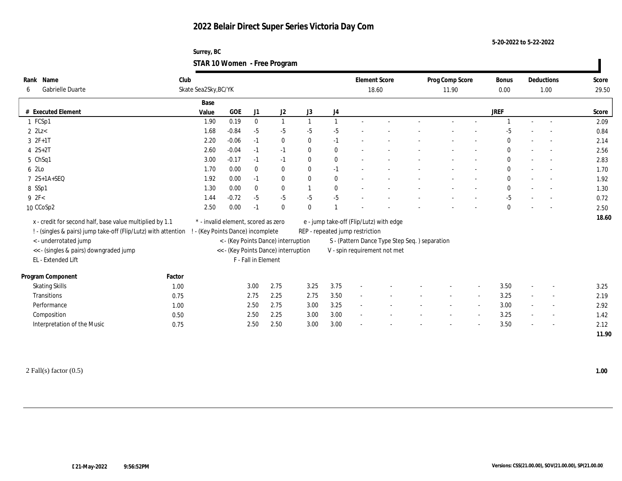**Surrey, BC STAR 10 Women - Free Program**

| Rank Name<br>Gabrielle Duarte<br>6                             | Club<br>Skate Sea2Sky, BC/YK |       |                                     |                     |                                      |              |                  | <b>Element Score</b>            | 18.60                                         | Prog Comp Score<br>11.90 |                          | <b>Bonus</b><br>0.00 |                          | Deductions<br>1.00       | Score<br>29.50 |
|----------------------------------------------------------------|------------------------------|-------|-------------------------------------|---------------------|--------------------------------------|--------------|------------------|---------------------------------|-----------------------------------------------|--------------------------|--------------------------|----------------------|--------------------------|--------------------------|----------------|
|                                                                |                              | Base  |                                     |                     |                                      |              |                  |                                 |                                               |                          |                          |                      |                          |                          |                |
| # Executed Element                                             |                              | Value | $GOE$                               | J1                  | J2                                   | J3           | $_{\mathrm{J}4}$ |                                 |                                               |                          |                          | <b>JREF</b>          |                          |                          | Score          |
| 1 FCSp1                                                        |                              | 1.90  | 0.19                                | $\mathbf{0}$        |                                      | $\mathbf{1}$ |                  |                                 |                                               |                          |                          |                      | $\overline{a}$           |                          | 2.09           |
| $2$ $2$ Lz $<$                                                 |                              | 1.68  | $-0.84$                             | $-5$                | $-5$                                 | $-5$         | $-5$             |                                 |                                               |                          |                          | -5                   |                          |                          | 0.84           |
| $3 \t2F+1T$                                                    |                              | 2.20  | $-0.06$                             | $-1$                | $\bf{0}$                             | $\mathbf{0}$ | $-1$             |                                 |                                               |                          |                          | $\bf{0}$             |                          |                          | 2.14           |
| $4 \ 2S + 2T$                                                  |                              | 2.60  | $-0.04$                             | $-1$                | $-1$                                 | $\mathbf{0}$ | $\bf{0}$         |                                 |                                               |                          |                          | $\mathbf{0}$         | $\overline{\phantom{a}}$ | $\sim$                   | 2.56           |
| 5 ChSq1                                                        |                              | 3.00  | $-0.17$                             | $-1$                | $-1$                                 | $\mathbf{0}$ | $\bf{0}$         | $\sim$                          |                                               |                          | $\overline{\phantom{a}}$ | $\mathbf{0}$         | $\sim$                   | $\overline{\phantom{a}}$ | 2.83           |
| 6 2Lo                                                          |                              | 1.70  | 0.00                                | $\mathbf{0}$        | $\bf{0}$                             | $\mathbf{0}$ | $-1$             |                                 |                                               |                          |                          | $\mathbf{0}$         |                          |                          | 1.70           |
| 7 2S+1A+SEQ                                                    |                              | 1.92  | 0.00                                | $-1$                | $\bf{0}$                             | $\mathbf{0}$ | $\bf{0}$         |                                 |                                               |                          |                          | $\mathbf{0}$         |                          | $\sim$                   | 1.92           |
| 8 SSp1                                                         |                              | 1.30  | 0.00                                | $\mathbf{0}$        | $\bf{0}$                             |              | $\bf{0}$         |                                 |                                               |                          |                          | $\mathbf{0}$         | $\overline{\phantom{a}}$ |                          | 1.30           |
| 9 2F<                                                          |                              | 1.44  | $-0.72$                             | $-5$                | $-5$                                 | $-5$         | $-5$             |                                 |                                               |                          |                          | $-5$                 |                          |                          | 0.72           |
| 10 CCoSp2                                                      |                              | 2.50  | 0.00                                | $-1$                | $\bf{0}$                             | $\mathbf{0}$ |                  |                                 |                                               |                          |                          | $\bf{0}$             |                          |                          | 2.50           |
| x - credit for second half, base value multiplied by 1.1       |                              |       | * - invalid element, scored as zero |                     |                                      |              |                  |                                 | e - jump take-off (Flip/Lutz) with edge       |                          |                          |                      |                          |                          | 18.60          |
| ! - (singles & pairs) jump take-off (Flip/Lutz) with attention |                              |       | ! - (Key Points Dance) incomplete   |                     |                                      |              |                  | REP - repeated jump restriction |                                               |                          |                          |                      |                          |                          |                |
| <- underrotated jump                                           |                              |       |                                     |                     | < - (Key Points Dance) interruption  |              |                  |                                 | S - (Pattern Dance Type Step Seq.) separation |                          |                          |                      |                          |                          |                |
|                                                                |                              |       |                                     |                     |                                      |              |                  |                                 |                                               |                          |                          |                      |                          |                          |                |
| << - (singles & pairs) downgraded jump<br>EL - Extended Lift   |                              |       |                                     | F - Fall in Element | << - (Key Points Dance) interruption |              |                  |                                 | V - spin requirement not met                  |                          |                          |                      |                          |                          |                |
|                                                                |                              |       |                                     |                     |                                      |              |                  |                                 |                                               |                          |                          |                      |                          |                          |                |
| Program Component                                              | Factor                       |       |                                     |                     |                                      |              |                  |                                 |                                               |                          |                          |                      |                          |                          |                |
| <b>Skating Skills</b>                                          | 1.00                         |       |                                     | 3.00                | 2.75                                 | 3.25         | 3.75             |                                 |                                               |                          |                          | 3.50                 | $\sim$                   | $\sim$                   | 3.25           |
| Transitions                                                    | 0.75                         |       |                                     | 2.75                | 2.25                                 | 2.75         | 3.50             |                                 |                                               |                          |                          | 3.25                 | $\sim$                   | $\overline{\phantom{a}}$ | 2.19           |
| Performance                                                    | 1.00                         |       |                                     | 2.50                | 2.75                                 | 3.00         | 3.25             | $\sim$                          |                                               |                          |                          | 3.00                 |                          |                          | 2.92           |
| Composition                                                    | 0.50                         |       |                                     | 2.50                | 2.25                                 | 3.00         | 3.00             |                                 |                                               |                          |                          | 3.25                 | $\sim$                   |                          | 1.42           |
| Interpretation of the Music                                    | 0.75                         |       |                                     | 2.50                | 2.50                                 | 3.00         | 3.00             |                                 |                                               |                          |                          | 3.50                 | $\sim$                   | $\sim$                   | 2.12           |
|                                                                |                              |       |                                     |                     |                                      |              |                  |                                 |                                               |                          |                          |                      |                          |                          | 11.90          |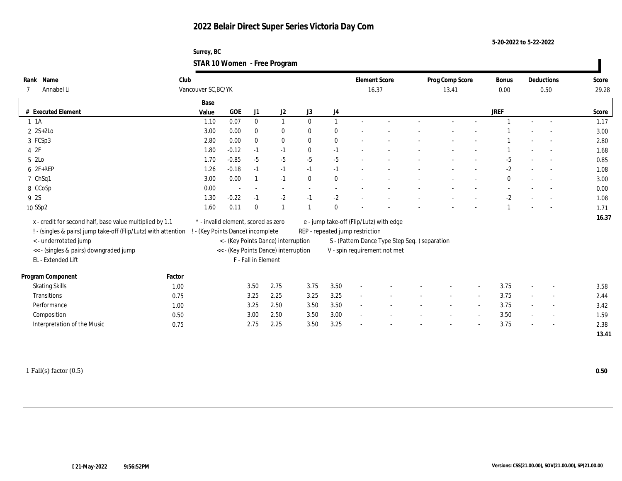**Surrey, BC STAR 10 Women - Free Program**

| Base<br>GOE<br><b>JREF</b><br># Executed Element<br>J1<br>J2<br>J3<br>J <sub>4</sub><br>Value<br>0.07<br>$\bf{0}$<br>$\theta$<br>$1 \t1A$<br>$\overline{1}$<br>1.10<br>1<br>$\sim$<br>$\sim$<br>$2$ 2S+2Lo<br>3.00<br>0.00<br>$\bf{0}$<br>$\bf{0}$<br>$\bf{0}$<br>$\bf{0}$<br>3 FCSp3<br>2.80<br>0.00<br>$\bf{0}$<br>$\bf{0}$<br>$\bf{0}$<br>$\mathbf{0}$<br>42F<br>$-0.12$<br>1.80<br>$\mathbf{0}$<br>$-1$<br>$-1$<br>$-1$<br>$\overline{\phantom{a}}$<br>$-5$<br>$-5$<br>5 2Lo<br>1.70<br>$-0.85$<br>$-5$<br>$-5$<br>$-5$<br>6 2F+REP<br>$-2$<br>1.26<br>$-0.18$<br>$-1$<br>$-1$<br>$-1$<br>$-1$<br>7 ChSq1<br>3.00<br>0.00<br>$-1$<br>$\mathbf{0}$<br>$\bf{0}$<br>$\bf{0}$<br>8 CCoSp<br>0.00<br>$\sim$<br>$\overline{\phantom{a}}$<br>9 2S<br>$-0.22$<br>$-2$<br>$-2$<br>$-2$<br>1.30<br>$-1$<br>$-1$<br>10 SSp2<br>0.11<br>1.60<br>$\mathbf{0}$<br>$\mathbf{0}$<br>$\overline{1}$ | Score<br>29.28 |
|----------------------------------------------------------------------------------------------------------------------------------------------------------------------------------------------------------------------------------------------------------------------------------------------------------------------------------------------------------------------------------------------------------------------------------------------------------------------------------------------------------------------------------------------------------------------------------------------------------------------------------------------------------------------------------------------------------------------------------------------------------------------------------------------------------------------------------------------------------------------------------------|----------------|
|                                                                                                                                                                                                                                                                                                                                                                                                                                                                                                                                                                                                                                                                                                                                                                                                                                                                                        |                |
|                                                                                                                                                                                                                                                                                                                                                                                                                                                                                                                                                                                                                                                                                                                                                                                                                                                                                        | Score          |
|                                                                                                                                                                                                                                                                                                                                                                                                                                                                                                                                                                                                                                                                                                                                                                                                                                                                                        | 1.17           |
|                                                                                                                                                                                                                                                                                                                                                                                                                                                                                                                                                                                                                                                                                                                                                                                                                                                                                        | 3.00           |
|                                                                                                                                                                                                                                                                                                                                                                                                                                                                                                                                                                                                                                                                                                                                                                                                                                                                                        | 2.80           |
|                                                                                                                                                                                                                                                                                                                                                                                                                                                                                                                                                                                                                                                                                                                                                                                                                                                                                        | 1.68           |
|                                                                                                                                                                                                                                                                                                                                                                                                                                                                                                                                                                                                                                                                                                                                                                                                                                                                                        | 0.85           |
|                                                                                                                                                                                                                                                                                                                                                                                                                                                                                                                                                                                                                                                                                                                                                                                                                                                                                        | 1.08           |
|                                                                                                                                                                                                                                                                                                                                                                                                                                                                                                                                                                                                                                                                                                                                                                                                                                                                                        | 3.00           |
|                                                                                                                                                                                                                                                                                                                                                                                                                                                                                                                                                                                                                                                                                                                                                                                                                                                                                        | 0.00           |
|                                                                                                                                                                                                                                                                                                                                                                                                                                                                                                                                                                                                                                                                                                                                                                                                                                                                                        | 1.08           |
|                                                                                                                                                                                                                                                                                                                                                                                                                                                                                                                                                                                                                                                                                                                                                                                                                                                                                        | 1.71           |
| x - credit for second half, base value multiplied by 1.1<br>* - invalid element, scored as zero<br>e - jump take-off (Flip/Lutz) with edge                                                                                                                                                                                                                                                                                                                                                                                                                                                                                                                                                                                                                                                                                                                                             | 16.37          |
| ! - (singles & pairs) jump take-off (Flip/Lutz) with attention<br>- (Key Points Dance) incomplete<br>REP - repeated jump restriction                                                                                                                                                                                                                                                                                                                                                                                                                                                                                                                                                                                                                                                                                                                                                   |                |
| <- underrotated jump<br>< - (Key Points Dance) interruption<br>S - (Pattern Dance Type Step Seq.) separation                                                                                                                                                                                                                                                                                                                                                                                                                                                                                                                                                                                                                                                                                                                                                                           |                |
| << - (singles & pairs) downgraded jump<br><< - (Key Points Dance) interruption                                                                                                                                                                                                                                                                                                                                                                                                                                                                                                                                                                                                                                                                                                                                                                                                         |                |
| V - spin requirement not met<br>EL - Extended Lift<br>F - Fall in Element                                                                                                                                                                                                                                                                                                                                                                                                                                                                                                                                                                                                                                                                                                                                                                                                              |                |
|                                                                                                                                                                                                                                                                                                                                                                                                                                                                                                                                                                                                                                                                                                                                                                                                                                                                                        |                |
| Program Component<br>Factor                                                                                                                                                                                                                                                                                                                                                                                                                                                                                                                                                                                                                                                                                                                                                                                                                                                            |                |
| <b>Skating Skills</b><br>3.75<br>3.50<br>2.75<br>3.50<br>3.75<br>1.00                                                                                                                                                                                                                                                                                                                                                                                                                                                                                                                                                                                                                                                                                                                                                                                                                  | 3.58           |
| 2.25<br>3.25<br>3.75<br><b>Transitions</b><br>3.25<br>3.25<br>0.75<br>$\overline{\phantom{a}}$<br>$\overline{a}$                                                                                                                                                                                                                                                                                                                                                                                                                                                                                                                                                                                                                                                                                                                                                                       | 2.44           |
| 3.50<br>Performance<br>3.25<br>2.50<br>3.50<br>3.75<br>1.00<br>$\sim$                                                                                                                                                                                                                                                                                                                                                                                                                                                                                                                                                                                                                                                                                                                                                                                                                  | 3.42           |
| 3.00<br>2.50<br>3.50<br>3.00<br>3.50<br>Composition<br>0.50<br>$\overline{a}$                                                                                                                                                                                                                                                                                                                                                                                                                                                                                                                                                                                                                                                                                                                                                                                                          | 1.59           |
| Interpretation of the Music<br>2.25<br>3.25<br>3.75<br>2.75<br>3.50<br>0.75<br>$\overline{\phantom{a}}$                                                                                                                                                                                                                                                                                                                                                                                                                                                                                                                                                                                                                                                                                                                                                                                |                |
|                                                                                                                                                                                                                                                                                                                                                                                                                                                                                                                                                                                                                                                                                                                                                                                                                                                                                        | 2.38           |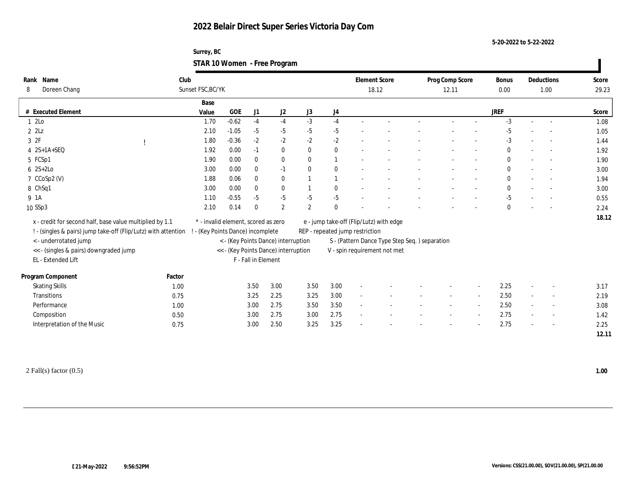**Surrey, BC STAR 10 Women - Free Program**

| Name<br>Rank<br>Doreen Chang<br>8                              | Club<br>Sunset FSC, BC/YK |                                     |                     |              |                                      |              |                | <b>Element Score</b>            | 18.12                                         | Prog Comp Score<br>12.11 |                          | <b>Bonus</b><br>0.00 |                          | Deductions<br>1.00       | Score<br>29.23 |
|----------------------------------------------------------------|---------------------------|-------------------------------------|---------------------|--------------|--------------------------------------|--------------|----------------|---------------------------------|-----------------------------------------------|--------------------------|--------------------------|----------------------|--------------------------|--------------------------|----------------|
|                                                                | Base                      |                                     |                     |              |                                      |              |                |                                 |                                               |                          |                          |                      |                          |                          |                |
| # Executed Element                                             | Value                     |                                     | GOE                 | J1           | J2                                   | J3           | J4             |                                 |                                               |                          |                          | <b>JREF</b>          |                          |                          | Score          |
| 12Lo                                                           |                           | 1.70                                | $-0.62$             | $-4$         | $-4$                                 | $-3$         | $-4$           |                                 |                                               |                          |                          | $-3$                 | $\sim$                   |                          | 1.08           |
| $2$ $2$ Lz                                                     |                           | 2.10                                | $-1.05$             | $-5$         | $-5$                                 | $-5$         | $-5$           |                                 |                                               |                          |                          | $-5$                 |                          |                          | 1.05           |
| 3 2F                                                           |                           | 1.80                                | $-0.36$             | $-2$         | $-2$                                 | $-2$         | $-2$           |                                 |                                               |                          |                          | $-3$                 |                          |                          | 1.44           |
| $4$ $2S+1A+SEQ$                                                |                           | 1.92                                | 0.00                | $-1$         | $\bf{0}$                             | $\mathbf{0}$ | $\bf{0}$       |                                 |                                               |                          |                          | $\bf{0}$             | $\overline{a}$           | $\sim$                   | 1.92           |
| 5 FCSp1                                                        |                           | 1.90                                | 0.00                | $\bf{0}$     | $\bf{0}$                             | $\mathbf{0}$ | $\overline{1}$ |                                 |                                               |                          |                          | $\bf{0}$             |                          |                          | 1.90           |
| $6 \quad 2S+2Lo$                                               |                           | 3.00                                | 0.00                | $\bf{0}$     | $-1$                                 | $\mathbf{0}$ | $\bf{0}$       |                                 |                                               |                          |                          | $\bf{0}$             |                          |                          | 3.00           |
| 7 CCoSp2 (V)                                                   |                           | 1.88                                | 0.06                | $\mathbf{0}$ | $\bf{0}$                             |              | $\overline{1}$ |                                 |                                               |                          |                          | $\bf{0}$             |                          | $\sim$                   | 1.94           |
| 8 ChSq1                                                        |                           | 3.00                                | 0.00                | $\bf{0}$     | $\bf{0}$                             |              | $\bf{0}$       |                                 |                                               |                          |                          | $\bf{0}$             |                          |                          | 3.00           |
| 9 1A                                                           |                           | 1.10                                | $-0.55$             | $-5$         | $-5$                                 | $-5$         | $-5$           |                                 |                                               |                          |                          | $-5$                 |                          |                          | 0.55           |
| 10 SSp3                                                        |                           | 2.10                                | 0.14                | $\theta$     | $\boldsymbol{2}$                     | $\mathbf{2}$ | $\mathbf{0}$   |                                 |                                               |                          |                          | $\bf{0}$             |                          |                          | 2.24           |
| x - credit for second half, base value multiplied by 1.1       |                           | * - invalid element, scored as zero |                     |              |                                      |              |                |                                 | e - jump take-off (Flip/Lutz) with edge       |                          |                          |                      |                          |                          | 18.12          |
| ! - (singles & pairs) jump take-off (Flip/Lutz) with attention |                           | - (Key Points Dance) incomplete     |                     |              |                                      |              |                | REP - repeated jump restriction |                                               |                          |                          |                      |                          |                          |                |
| <- underrotated jump                                           |                           |                                     |                     |              | < - (Key Points Dance) interruption  |              |                |                                 | S - (Pattern Dance Type Step Seq.) separation |                          |                          |                      |                          |                          |                |
| << - (singles & pairs) downgraded jump                         |                           |                                     |                     |              | << - (Key Points Dance) interruption |              |                |                                 | V - spin requirement not met                  |                          |                          |                      |                          |                          |                |
| EL - Extended Lift                                             |                           |                                     | F - Fall in Element |              |                                      |              |                |                                 |                                               |                          |                          |                      |                          |                          |                |
| Program Component                                              | Factor                    |                                     |                     |              |                                      |              |                |                                 |                                               |                          |                          |                      |                          |                          |                |
| <b>Skating Skills</b>                                          | 1.00                      |                                     |                     | 3.50         | 3.00                                 | 3.50         | 3.00           |                                 |                                               |                          |                          | 2.25                 |                          |                          | 3.17           |
| Transitions                                                    | 0.75                      |                                     |                     | 3.25         | 2.25                                 | 3.25         | 3.00           | $\sim$                          |                                               |                          | $\overline{\phantom{a}}$ | 2.50                 | $\sim$                   | $\overline{\phantom{a}}$ | 2.19           |
| Performance                                                    | 1.00                      |                                     |                     | 3.00         | 2.75                                 | 3.50         | 3.50           | $\overline{\phantom{a}}$        |                                               |                          |                          | 2.50                 | $\overline{\phantom{a}}$ | $\overline{\phantom{a}}$ | 3.08           |
| Composition                                                    | 0.50                      |                                     |                     | 3.00         | 2.75                                 | 3.00         | 2.75           | $\sim$                          |                                               |                          |                          | 2.75                 | $\sim$                   | $\overline{\phantom{a}}$ | 1.42           |
| Interpretation of the Music                                    | 0.75                      |                                     |                     | 3.00         | 2.50                                 | 3.25         | 3.25           |                                 |                                               |                          |                          | 2.75                 | $\overline{\phantom{a}}$ |                          | 2.25           |
|                                                                |                           |                                     |                     |              |                                      |              |                |                                 |                                               |                          |                          |                      |                          |                          | 12.11          |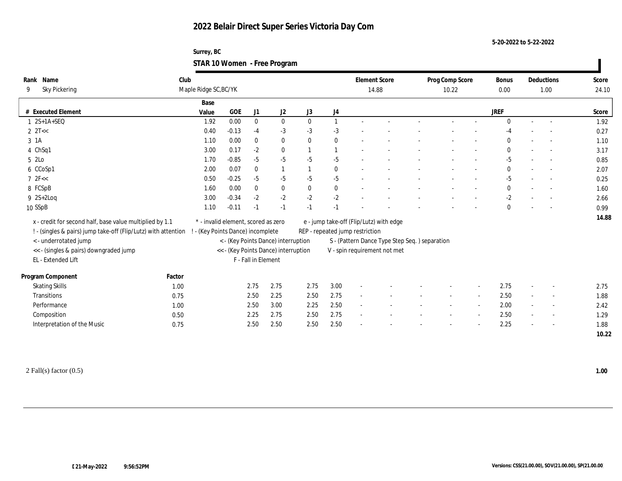**Surrey, BC STAR 10 Women - Free Program**

| Name<br>Rank                                                   | Club   |                                     |              |                     |                                      |              |                | <b>Element Score</b>            |                                               | Prog Comp Score | <b>Bonus</b> |                          | Deductions | Score |
|----------------------------------------------------------------|--------|-------------------------------------|--------------|---------------------|--------------------------------------|--------------|----------------|---------------------------------|-----------------------------------------------|-----------------|--------------|--------------------------|------------|-------|
| <b>Sky Pickering</b><br>9                                      |        | Maple Ridge SC, BC/YK               |              |                     |                                      |              |                |                                 | 14.88                                         | 10.22           | 0.00         |                          | 1.00       | 24.10 |
|                                                                |        | Base                                |              |                     |                                      |              |                |                                 |                                               |                 |              |                          |            |       |
| # Executed Element                                             |        | Value                               | $_{\rm GOE}$ | J1                  | J2                                   | J3           | J4             |                                 |                                               |                 | <b>JREF</b>  |                          |            | Score |
| $1 \quad 2S+1A+SEQ$                                            |        | 1.92                                | 0.00         | $\mathbf{0}$        | $\bf{0}$                             | $\mathbf{0}$ | $\mathbf{1}$   |                                 |                                               |                 | $\mathbf{0}$ | $\sim$                   |            | 1.92  |
| $2 \text{ } 2T <$                                              |        | 0.40                                | $-0.13$      | $-4$                | $-3$                                 | $-3$         | $-3$           |                                 |                                               |                 | -4           |                          |            | 0.27  |
| 3 <sub>1</sub> A                                               |        | 1.10                                | 0.00         | $\mathbf{0}$        | $\bf{0}$                             | $\mathbf{0}$ | $\bf{0}$       |                                 |                                               |                 | $\bf{0}$     |                          |            | 1.10  |
| 4 ChSq1                                                        |        | 3.00                                | 0.17         | $-2$                | $\mathbf{0}$                         |              | $\overline{1}$ |                                 |                                               |                 | $\bf{0}$     | $\overline{\phantom{a}}$ |            | 3.17  |
| 5 2Lo                                                          |        | 1.70                                | $-0.85$      | $-5$                | $-5$                                 | $-5$         | $-5$           |                                 |                                               |                 | $-5$         |                          |            | 0.85  |
| 6 CCoSp1                                                       |        | 2.00                                | 0.07         | $\mathbf{0}$        | 1                                    |              | $\mathbf{0}$   |                                 |                                               |                 | $\mathbf{0}$ |                          |            | 2.07  |
| 72F<<                                                          |        | 0.50                                | $-0.25$      | $-5$                | $-5$                                 | -5           | $-5$           |                                 |                                               |                 | $-5$         |                          |            | 0.25  |
| 8 FCSpB                                                        |        | 1.60                                | 0.00         | $\bf{0}$            | $\bf{0}$                             | $\bf{0}$     | $\bf{0}$       |                                 |                                               |                 | $\bf{0}$     |                          |            | 1.60  |
| $9 \quad 2S+2Log$                                              |        | 3.00                                | $-0.34$      | $-2$                | $-2$                                 | $-2$         | $-2$           |                                 |                                               |                 | $-2$         |                          |            | 2.66  |
| 10 SSpB                                                        |        | 1.10                                | $-0.11$      | $-1$                | $-1$                                 | $-1$         | $-1$           |                                 |                                               |                 | $\mathbf{0}$ |                          |            | 0.99  |
| x - credit for second half, base value multiplied by 1.1       |        | * - invalid element, scored as zero |              |                     |                                      |              |                |                                 | e - jump take-off (Flip/Lutz) with edge       |                 |              |                          |            | 14.88 |
| ! - (singles & pairs) jump take-off (Flip/Lutz) with attention |        | - (Key Points Dance) incomplete     |              |                     |                                      |              |                | REP - repeated jump restriction |                                               |                 |              |                          |            |       |
| <- underrotated jump                                           |        |                                     |              |                     | < - (Key Points Dance) interruption  |              |                |                                 | S - (Pattern Dance Type Step Seq.) separation |                 |              |                          |            |       |
| << - (singles & pairs) downgraded jump                         |        |                                     |              |                     | << - (Key Points Dance) interruption |              |                |                                 | V - spin requirement not met                  |                 |              |                          |            |       |
| EL - Extended Lift                                             |        |                                     |              | F - Fall in Element |                                      |              |                |                                 |                                               |                 |              |                          |            |       |
|                                                                |        |                                     |              |                     |                                      |              |                |                                 |                                               |                 |              |                          |            |       |
| Program Component                                              | Factor |                                     |              |                     |                                      |              |                |                                 |                                               |                 |              |                          |            |       |
| <b>Skating Skills</b>                                          | 1.00   |                                     |              | 2.75                | 2.75                                 | 2.75         | 3.00           |                                 |                                               |                 | 2.75         |                          |            | 2.75  |
| <b>Transitions</b>                                             | 0.75   |                                     |              | 2.50                | 2.25                                 | 2.50         | 2.75           |                                 |                                               |                 | 2.50         | $\sim$                   | $\sim$     | 1.88  |
| Performance                                                    | 1.00   |                                     |              | 2.50                | 3.00                                 | 2.25         | 2.50           | $\sim$                          |                                               |                 | 2.00         |                          | $\sim$     | 2.42  |
| Composition                                                    | 0.50   |                                     |              | 2.25                | 2.75                                 | 2.50         | 2.75           | $\sim$                          |                                               |                 | 2.50         | $\sim$                   |            | 1.29  |
| Interpretation of the Music                                    | 0.75   |                                     |              | 2.50                | 2.50                                 | 2.50         | 2.50           |                                 |                                               |                 | 2.25         |                          |            | 1.88  |
|                                                                |        |                                     |              |                     |                                      |              |                |                                 |                                               |                 |              |                          |            | 10.22 |
|                                                                |        |                                     |              |                     |                                      |              |                |                                 |                                               |                 |              |                          |            |       |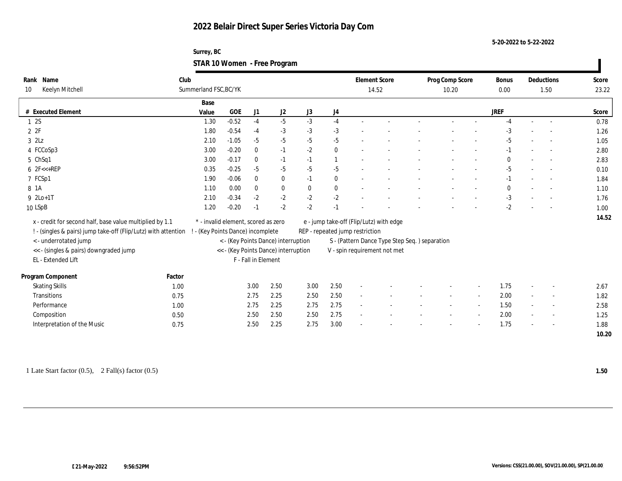**Surrey, BC STAR 10 Women - Free Program**

| Rank Name<br>Keelyn Mitchell<br>10                             | Club   | Summerland FSC, BC/YK               |              |                     |                                      |              |              | <b>Element Score</b>            | 14.52                                         | Prog Comp Score<br>10.20 | Bonus<br>0.00 |                          | Deductions<br>1.50       | Score<br>23.22 |
|----------------------------------------------------------------|--------|-------------------------------------|--------------|---------------------|--------------------------------------|--------------|--------------|---------------------------------|-----------------------------------------------|--------------------------|---------------|--------------------------|--------------------------|----------------|
|                                                                |        | Base                                |              |                     |                                      |              |              |                                 |                                               |                          |               |                          |                          |                |
| # Executed Element                                             |        | Value                               | $_{\rm GOE}$ | J1                  | J <sub>2</sub>                       | J3           | J4           |                                 |                                               |                          | <b>JREF</b>   |                          |                          | Score          |
| 12S                                                            |        | 1.30                                | $-0.52$      | $-4$                | $-5$                                 | $-3$         | $-4$         |                                 |                                               |                          | $-4$          | $\sim$                   | $\sim$                   | 0.78           |
| 2P                                                             |        | 1.80                                | $-0.54$      | $-4$                | $-3$                                 | $-3$         | $-3$         |                                 |                                               |                          | -3            |                          |                          | 1.26           |
| $3$ $2\text{L}z$                                               |        | 2.10                                | $-1.05$      | $-5$                | $-5$                                 | $-5$         | $-5$         |                                 |                                               |                          | $-5$          |                          |                          | 1.05           |
| 4 FCCoSp3                                                      |        | 3.00                                | $-0.20$      | $\mathbf{0}$        | $-1$                                 | $-2$         | $\bf{0}$     |                                 |                                               |                          | $-1$          |                          |                          | 2.80           |
| 5 ChSq1                                                        |        | 3.00                                | $-0.17$      | $\mathbf{0}$        | $-1$                                 | $-1$         | 1            |                                 |                                               |                          | $\Omega$      | $\overline{\phantom{a}}$ |                          | 2.83           |
| $6$ $2F < +REP$                                                |        | 0.35                                | $-0.25$      | $-5$                | $-5$                                 | $-5$         | $-5$         |                                 |                                               |                          | $-5$          |                          |                          | 0.10           |
| 7 FCSp1                                                        |        | 1.90                                | $-0.06$      | $\mathbf{0}$        | $\bf{0}$                             | $-1$         | $\mathbf{0}$ |                                 |                                               |                          | $-1$          |                          |                          | 1.84           |
| 8 1A                                                           |        | 1.10                                | 0.00         | $\mathbf{0}$        | $\bf{0}$                             | $\mathbf{0}$ | $\bf{0}$     |                                 |                                               |                          | $\mathbf{0}$  |                          |                          | 1.10           |
| $9 \text{ } 2\text{Lo}+1\text{T}$                              |        | 2.10                                | $-0.34$      | $-2$                | $-2$                                 | $-2$         | $-2$         |                                 |                                               |                          | $-3$          |                          |                          | 1.76           |
| 10 LSpB                                                        |        | 1.20                                | $-0.20$      | $-1$                | $-2$                                 | $-2$         | $-1$         |                                 |                                               |                          | $-2$          |                          |                          | 1.00           |
|                                                                |        |                                     |              |                     |                                      |              |              |                                 |                                               |                          |               |                          |                          | 14.52          |
| x - credit for second half, base value multiplied by 1.1       |        | * - invalid element, scored as zero |              |                     |                                      |              |              |                                 | e - jump take-off (Flip/Lutz) with edge       |                          |               |                          |                          |                |
| ! - (singles & pairs) jump take-off (Flip/Lutz) with attention |        | - (Key Points Dance) incomplete     |              |                     |                                      |              |              | REP - repeated jump restriction |                                               |                          |               |                          |                          |                |
| <- underrotated jump                                           |        |                                     |              |                     | < - (Key Points Dance) interruption  |              |              |                                 | S - (Pattern Dance Type Step Seq.) separation |                          |               |                          |                          |                |
| << - (singles & pairs) downgraded jump                         |        |                                     |              |                     | << - (Key Points Dance) interruption |              |              |                                 | V - spin requirement not met                  |                          |               |                          |                          |                |
| EL - Extended Lift                                             |        |                                     |              | F - Fall in Element |                                      |              |              |                                 |                                               |                          |               |                          |                          |                |
| Program Component                                              | Factor |                                     |              |                     |                                      |              |              |                                 |                                               |                          |               |                          |                          |                |
| <b>Skating Skills</b>                                          | 1.00   |                                     |              | 3.00                | 2.50                                 | 3.00         | 2.50         |                                 |                                               |                          | 1.75          |                          |                          | 2.67           |
| Transitions                                                    | 0.75   |                                     |              | 2.75                | 2.25                                 | 2.50         | 2.50         |                                 |                                               |                          | 2.00          | $\sim$                   | $\overline{\phantom{a}}$ | 1.82           |
| Performance                                                    | 1.00   |                                     |              | 2.75                | 2.25                                 | 2.75         | 2.75         |                                 |                                               |                          | 1.50          | $\sim$                   | $\overline{\phantom{a}}$ | 2.58           |
| Composition                                                    | 0.50   |                                     |              | 2.50                | 2.50                                 | 2.50         | 2.75         |                                 |                                               |                          | 2.00          |                          |                          | 1.25           |
| Interpretation of the Music                                    | 0.75   |                                     |              | 2.50                | 2.25                                 | 2.75         | 3.00         |                                 |                                               |                          | 1.75          |                          |                          | 1.88           |
|                                                                |        |                                     |              |                     |                                      |              |              |                                 |                                               |                          |               |                          |                          | 10.20          |

1 Late Start factor (0.5), 2 Fall(s) factor (0.5) **1.50**